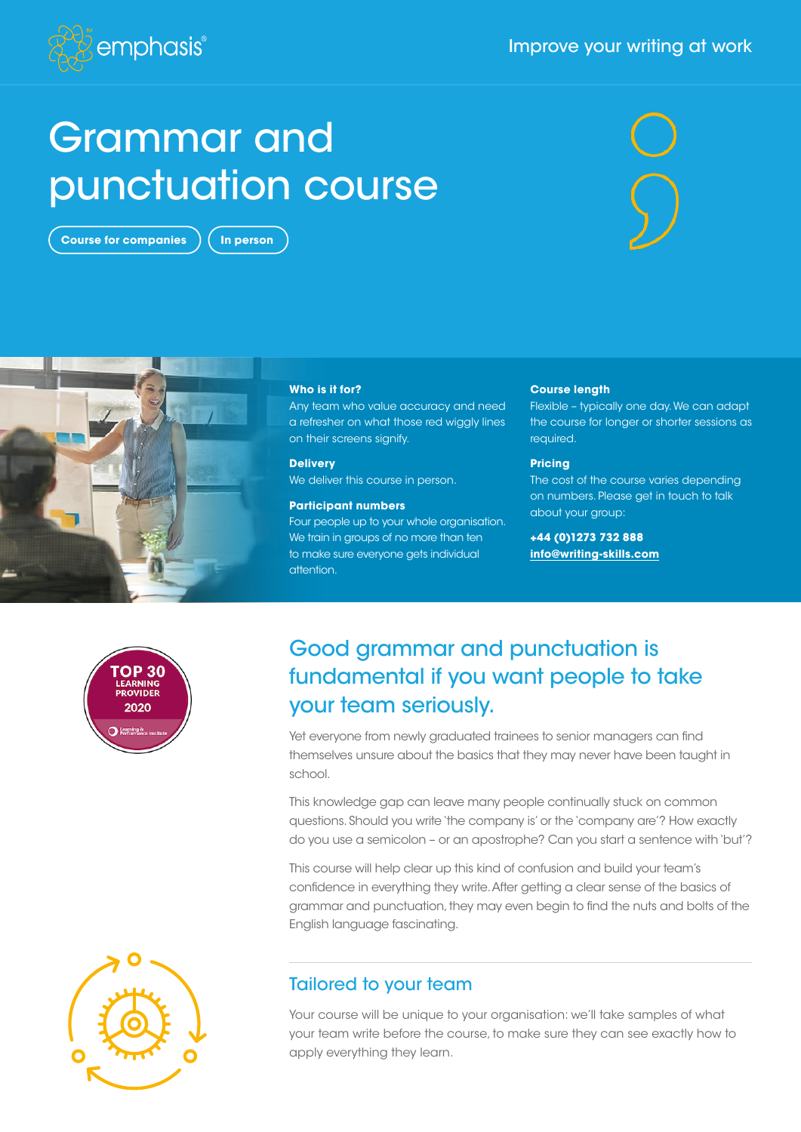#### Improve your writing at work



# Grammar and punctuation course

**Course for companies**  $\left($  In person





#### **Who is it for?**

Any team who value accuracy and need a refresher on what those red wiggly lines on their screens signify.

**Delivery** We deliver this course in person.

#### **Participant numbers**

Four people up to your whole organisation. We train in groups of no more than ten to make sure everyone gets individual attention.

#### **Course length**

Flexible – typically one day. We can adapt the course for longer or shorter sessions as required.

#### **Pricing**

The cost of the course varies depending on numbers. Please get in touch to talk about your group:

**+44 (0)1273 732 888 [info@writing-skills.com](mailto:info%40writing-skills.com?subject=)**



# Good grammar and punctuation is fundamental if you want people to take your team seriously.

Yet everyone from newly graduated trainees to senior managers can find themselves unsure about the basics that they may never have been taught in school.

This knowledge gap can leave many people continually stuck on common questions. Should you write 'the company is' or the 'company are'? How exactly do you use a semicolon – or an apostrophe? Can you start a sentence with 'but'?

This course will help clear up this kind of confusion and build your team's confidence in everything they write. After getting a clear sense of the basics of grammar and punctuation, they may even begin to find the nuts and bolts of the English language fascinating.

#### Tailored to your team

Your course will be unique to your organisation: we'll take samples of what your team write before the course, to make sure they can see exactly how to apply everything they learn.

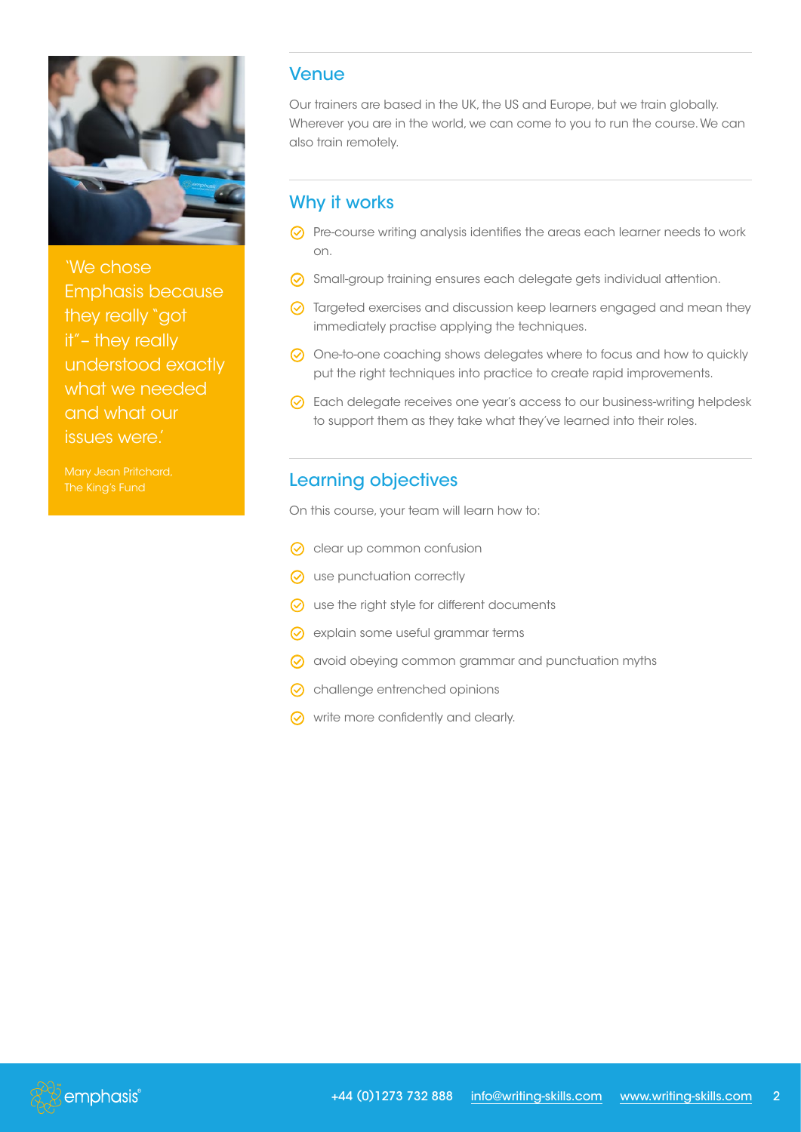

'We chose Emphasis because they really "got it"– they really understood exactly what we needed and what our issues were.'

Mary Jean Pritchard,

#### Venue

Our trainers are based in the UK, the US and Europe, but we train globally. Wherever you are in the world, we can come to you to run the course. We can also train remotely.

### Why it works

- G Pre-course writing analysis identifies the areas each learner needs to work on.
- G Small-group training ensures each delegate gets individual attention.
- G Targeted exercises and discussion keep learners engaged and mean they immediately practise applying the techniques.
- $\odot$  One-to-one coaching shows delegates where to focus and how to quickly put the right techniques into practice to create rapid improvements.
- G Each delegate receives one year's access to our business-writing helpdesk to support them as they take what they've learned into their roles.

## Learning objectives

On this course, your team will learn how to:

- $\odot$  clear up common confusion
- $\odot$  use punctuation correctly
- $\odot$  use the right style for different documents
- $\odot$  explain some useful grammar terms
- G avoid obeying common grammar and punctuation myths
- $\odot$  challenge entrenched opinions
- $\odot$  write more confidently and clearly.

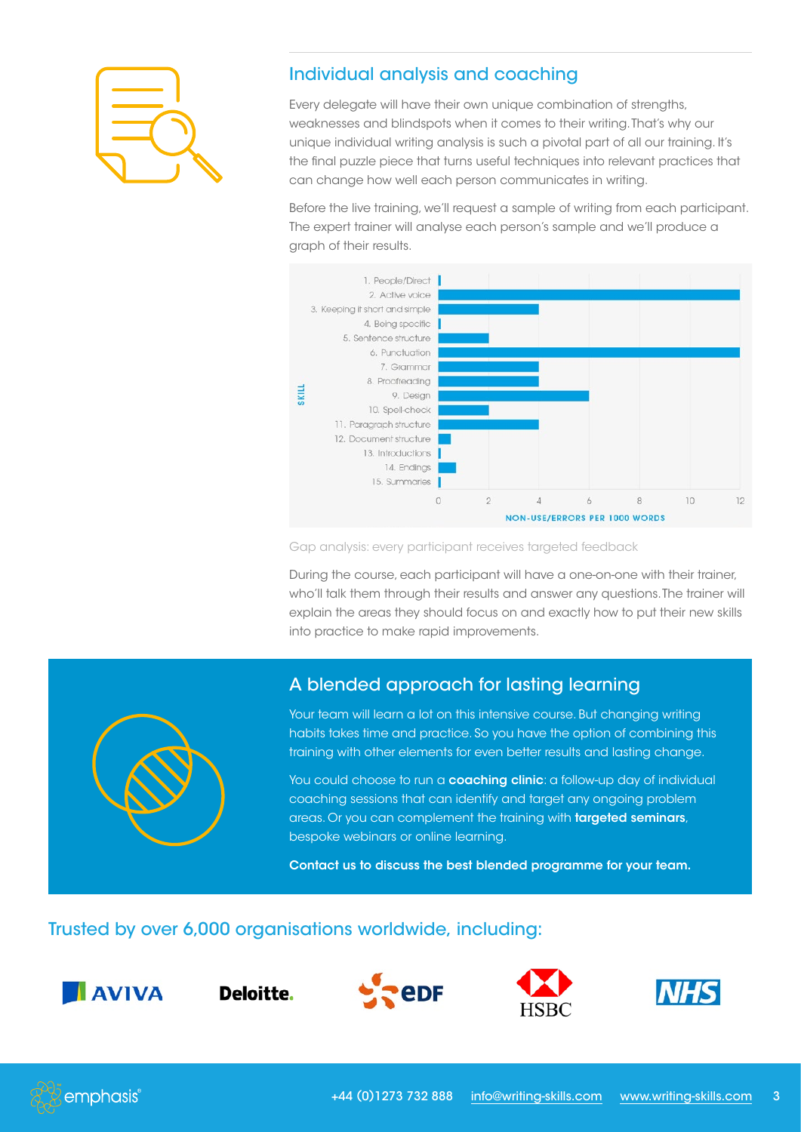

## Individual analysis and coaching

Every delegate will have their own unique combination of strengths, weaknesses and blindspots when it comes to their writing. That's why our unique individual writing analysis is such a pivotal part of all our training. It's the final puzzle piece that turns useful techniques into relevant practices that can change how well each person communicates in writing.

Before the live training, we'll request a sample of writing from each participant. The expert trainer will analyse each person's sample and we'll produce a graph of their results.



Gap analysis: every participant receives targeted feedback

During the course, each participant will have a one-on-one with their trainer, who'll talk them through their results and answer any questions. The trainer will explain the areas they should focus on and exactly how to put their new skills into practice to make rapid improvements.



### A blended approach for lasting learning

Your team will learn a lot on this intensive course. But changing writing habits takes time and practice. So you have the option of combining this training with other elements for even better results and lasting change.

You could choose to run a coaching clinic: a follow-up day of individual coaching sessions that can identify and target any ongoing problem areas. Or you can complement the training with targeted seminars, bespoke webinars or online learning.

Contact us to discuss the best blended programme for your team.

#### Trusted by over 6,000 organisations worldwide, including:



Deloitte.